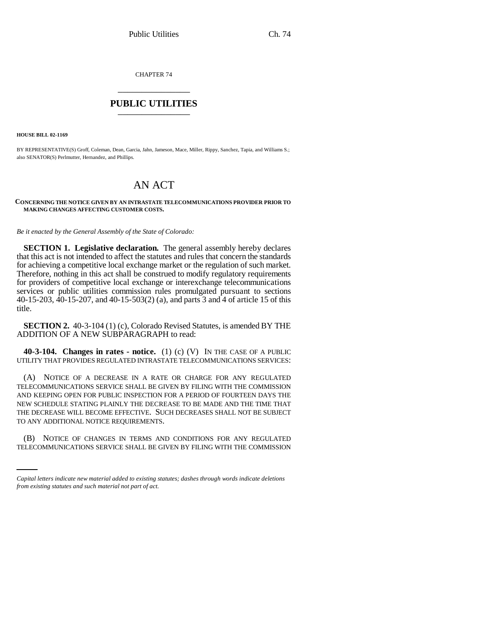CHAPTER 74 \_\_\_\_\_\_\_\_\_\_\_\_\_\_\_

# **PUBLIC UTILITIES** \_\_\_\_\_\_\_\_\_\_\_\_\_\_\_

**HOUSE BILL 02-1169**

BY REPRESENTATIVE(S) Groff, Coleman, Dean, Garcia, Jahn, Jameson, Mace, Miller, Rippy, Sanchez, Tapia, and Williams S.; also SENATOR(S) Perlmutter, Hernandez, and Phillips.

# AN ACT

### **CONCERNING THE NOTICE GIVEN BY AN INTRASTATE TELECOMMUNICATIONS PROVIDER PRIOR TO MAKING CHANGES AFFECTING CUSTOMER COSTS.**

*Be it enacted by the General Assembly of the State of Colorado:*

**SECTION 1. Legislative declaration.** The general assembly hereby declares that this act is not intended to affect the statutes and rules that concern the standards for achieving a competitive local exchange market or the regulation of such market. Therefore, nothing in this act shall be construed to modify regulatory requirements for providers of competitive local exchange or interexchange telecommunications services or public utilities commission rules promulgated pursuant to sections 40-15-203, 40-15-207, and 40-15-503(2) (a), and parts 3 and 4 of article 15 of this title.

**SECTION 2.** 40-3-104 (1) (c), Colorado Revised Statutes, is amended BY THE ADDITION OF A NEW SUBPARAGRAPH to read:

**40-3-104. Changes in rates - notice.** (1) (c) (V) IN THE CASE OF A PUBLIC UTILITY THAT PROVIDES REGULATED INTRASTATE TELECOMMUNICATIONS SERVICES:

(A) NOTICE OF A DECREASE IN A RATE OR CHARGE FOR ANY REGULATED TELECOMMUNICATIONS SERVICE SHALL BE GIVEN BY FILING WITH THE COMMISSION AND KEEPING OPEN FOR PUBLIC INSPECTION FOR A PERIOD OF FOURTEEN DAYS THE NEW SCHEDULE STATING PLAINLY THE DECREASE TO BE MADE AND THE TIME THAT THE DECREASE WILL BECOME EFFECTIVE. SUCH DECREASES SHALL NOT BE SUBJECT TO ANY ADDITIONAL NOTICE REQUIREMENTS.

(B) NOTICE OF CHANGES IN TERMS AND CONDITIONS FOR ANY REGULATED TELECOMMUNICATIONS SERVICE SHALL BE GIVEN BY FILING WITH THE COMMISSION

*Capital letters indicate new material added to existing statutes; dashes through words indicate deletions from existing statutes and such material not part of act.*